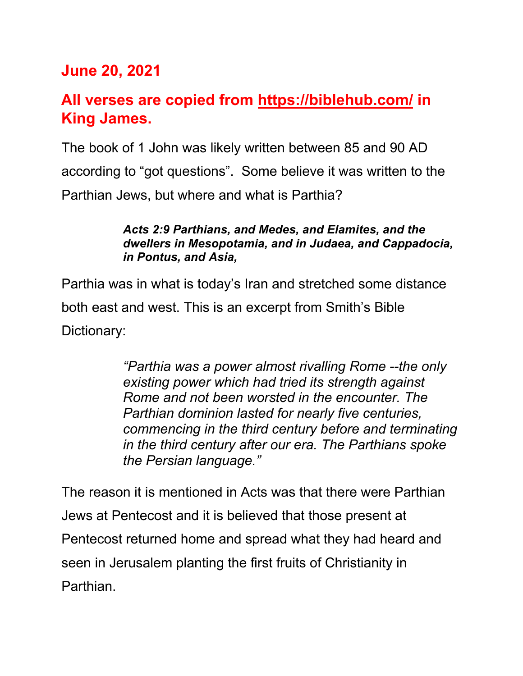# **June 20, 2021**

# **All verses are copied from https://biblehub.com/ in King James.**

The book of 1 John was likely written between 85 and 90 AD according to "got questions". Some believe it was written to the Parthian Jews, but where and what is Parthia?

#### *Acts 2:9 Parthians, and Medes, and Elamites, and the dwellers in Mesopotamia, and in Judaea, and Cappadocia, in Pontus, and Asia,*

Parthia was in what is today's Iran and stretched some distance both east and west. This is an excerpt from Smith's Bible Dictionary:

> *"Parthia was a power almost rivalling Rome --the only existing power which had tried its strength against Rome and not been worsted in the encounter. The Parthian dominion lasted for nearly five centuries, commencing in the third century before and terminating in the third century after our era. The Parthians spoke the Persian language."*

The reason it is mentioned in Acts was that there were Parthian Jews at Pentecost and it is believed that those present at Pentecost returned home and spread what they had heard and seen in Jerusalem planting the first fruits of Christianity in Parthian.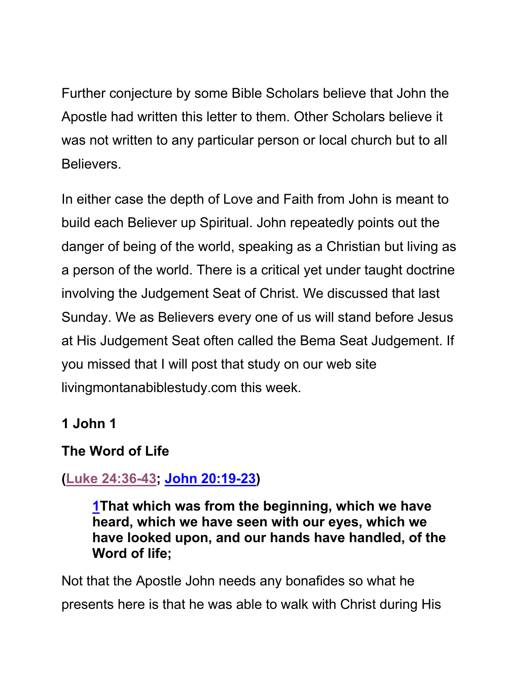Further conjecture by some Bible Scholars believe that John the Apostle had written this letter to them. Other Scholars believe it was not written to any particular person or local church but to all Believers.

In either case the depth of Love and Faith from John is meant to build each Believer up Spiritual. John repeatedly points out the danger of being of the world, speaking as a Christian but living as a person of the world. There is a critical yet under taught doctrine involving the Judgement Seat of Christ. We discussed that last Sunday. We as Believers every one of us will stand before Jesus at His Judgement Seat often called the Bema Seat Judgement. If you missed that I will post that study on our web site livingmontanabiblestudy.com this week.

## **1 John 1**

# **The Word of Life**

# **(Luke 24:36-43; John 20:19-23)**

**1That which was from the beginning, which we have heard, which we have seen with our eyes, which we have looked upon, and our hands have handled, of the Word of life;**

Not that the Apostle John needs any bonafides so what he presents here is that he was able to walk with Christ during His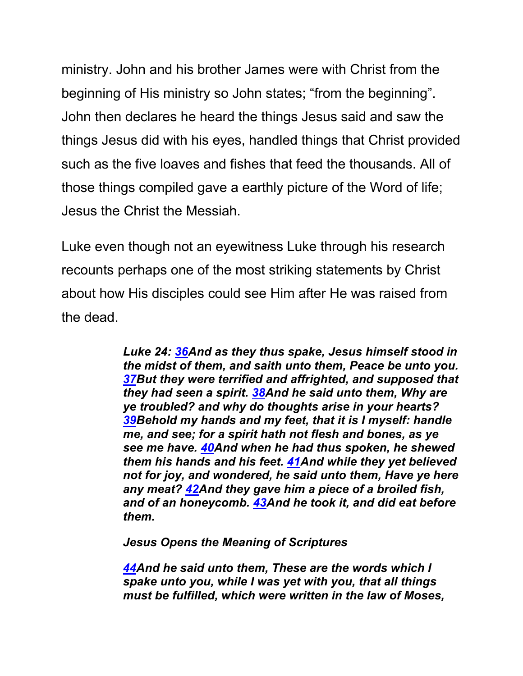ministry. John and his brother James were with Christ from the beginning of His ministry so John states; "from the beginning". John then declares he heard the things Jesus said and saw the things Jesus did with his eyes, handled things that Christ provided such as the five loaves and fishes that feed the thousands. All of those things compiled gave a earthly picture of the Word of life; Jesus the Christ the Messiah.

Luke even though not an eyewitness Luke through his research recounts perhaps one of the most striking statements by Christ about how His disciples could see Him after He was raised from the dead.

> *Luke 24: 36And as they thus spake, Jesus himself stood in the midst of them, and saith unto them, Peace be unto you. 37But they were terrified and affrighted, and supposed that they had seen a spirit. 38And he said unto them, Why are ye troubled? and why do thoughts arise in your hearts? 39Behold my hands and my feet, that it is I myself: handle me, and see; for a spirit hath not flesh and bones, as ye see me have. 40And when he had thus spoken, he shewed them his hands and his feet. 41And while they yet believed not for joy, and wondered, he said unto them, Have ye here any meat? 42And they gave him a piece of a broiled fish, and of an honeycomb. 43And he took it, and did eat before them.*

*Jesus Opens the Meaning of Scriptures*

*44And he said unto them, These are the words which I spake unto you, while I was yet with you, that all things must be fulfilled, which were written in the law of Moses,*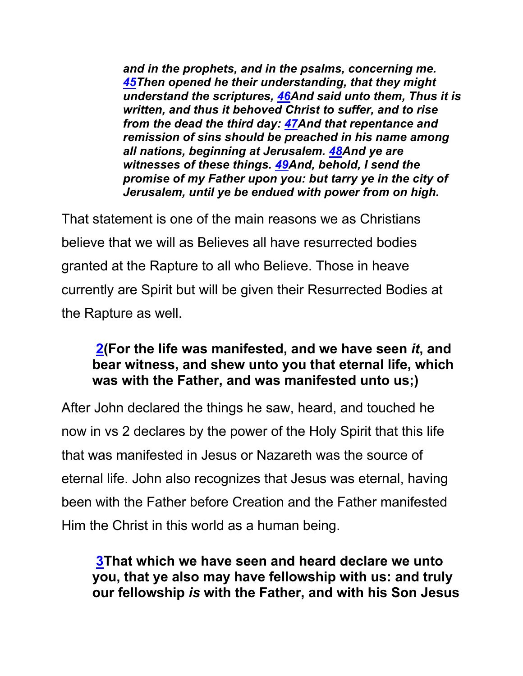*and in the prophets, and in the psalms, concerning me. 45Then opened he their understanding, that they might understand the scriptures, 46And said unto them, Thus it is written, and thus it behoved Christ to suffer, and to rise from the dead the third day: 47And that repentance and remission of sins should be preached in his name among all nations, beginning at Jerusalem. 48And ye are witnesses of these things. 49And, behold, I send the promise of my Father upon you: but tarry ye in the city of Jerusalem, until ye be endued with power from on high.*

That statement is one of the main reasons we as Christians believe that we will as Believes all have resurrected bodies granted at the Rapture to all who Believe. Those in heave currently are Spirit but will be given their Resurrected Bodies at the Rapture as well.

### **2(For the life was manifested, and we have seen** *it***, and bear witness, and shew unto you that eternal life, which was with the Father, and was manifested unto us;)**

After John declared the things he saw, heard, and touched he now in vs 2 declares by the power of the Holy Spirit that this life that was manifested in Jesus or Nazareth was the source of eternal life. John also recognizes that Jesus was eternal, having been with the Father before Creation and the Father manifested Him the Christ in this world as a human being.

**3That which we have seen and heard declare we unto you, that ye also may have fellowship with us: and truly our fellowship** *is* **with the Father, and with his Son Jesus**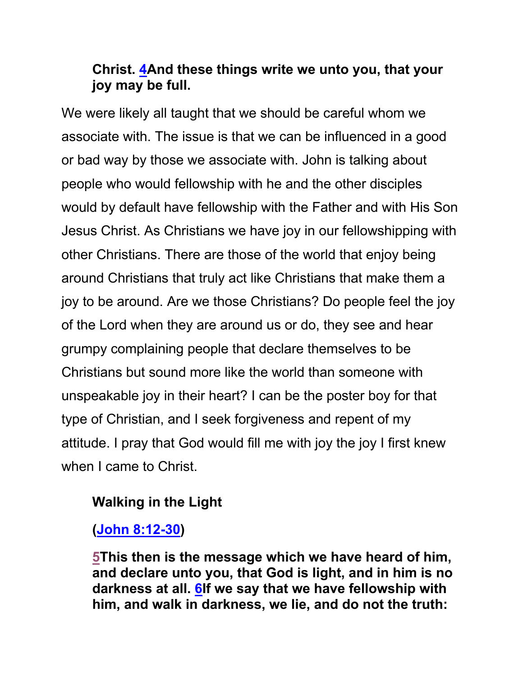### **Christ. 4And these things write we unto you, that your joy may be full.**

We were likely all taught that we should be careful whom we associate with. The issue is that we can be influenced in a good or bad way by those we associate with. John is talking about people who would fellowship with he and the other disciples would by default have fellowship with the Father and with His Son Jesus Christ. As Christians we have joy in our fellowshipping with other Christians. There are those of the world that enjoy being around Christians that truly act like Christians that make them a joy to be around. Are we those Christians? Do people feel the joy of the Lord when they are around us or do, they see and hear grumpy complaining people that declare themselves to be Christians but sound more like the world than someone with unspeakable joy in their heart? I can be the poster boy for that type of Christian, and I seek forgiveness and repent of my attitude. I pray that God would fill me with joy the joy I first knew when I came to Christ.

## **Walking in the Light**

**(John 8:12-30)**

**5This then is the message which we have heard of him, and declare unto you, that God is light, and in him is no darkness at all. 6If we say that we have fellowship with him, and walk in darkness, we lie, and do not the truth:**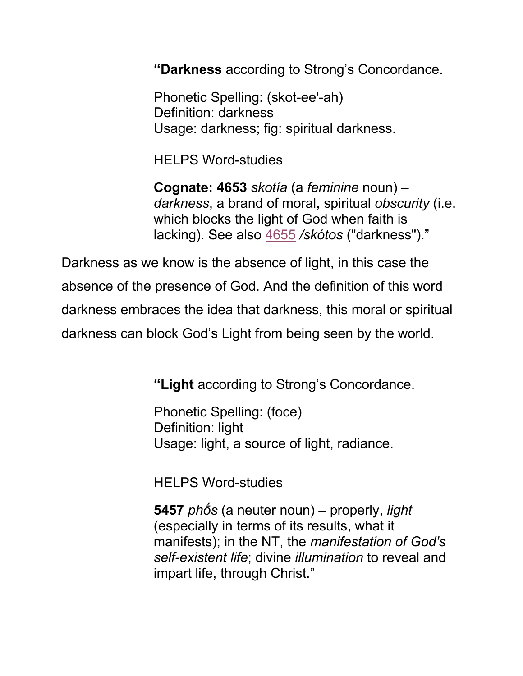**"Darkness** according to Strong's Concordance.

Phonetic Spelling: (skot-ee'-ah) Definition: darkness Usage: darkness; fig: spiritual darkness.

HELPS Word-studies

**Cognate: 4653** *skotía* (a *feminine* noun) – *darkness*, a brand of moral, spiritual *obscurity* (i.e. which blocks the light of God when faith is lacking). See also 4655 */skótos* ("darkness")."

Darkness as we know is the absence of light, in this case the absence of the presence of God. And the definition of this word darkness embraces the idea that darkness, this moral or spiritual darkness can block God's Light from being seen by the world.

**"Light** according to Strong's Concordance.

Phonetic Spelling: (foce) Definition: light Usage: light, a source of light, radiance.

HELPS Word-studies

**5457** *phṓs* (a neuter noun) – properly, *light* (especially in terms of its results, what it manifests); in the NT, the *manifestation of God's self-existent life*; divine *illumination* to reveal and impart life, through Christ."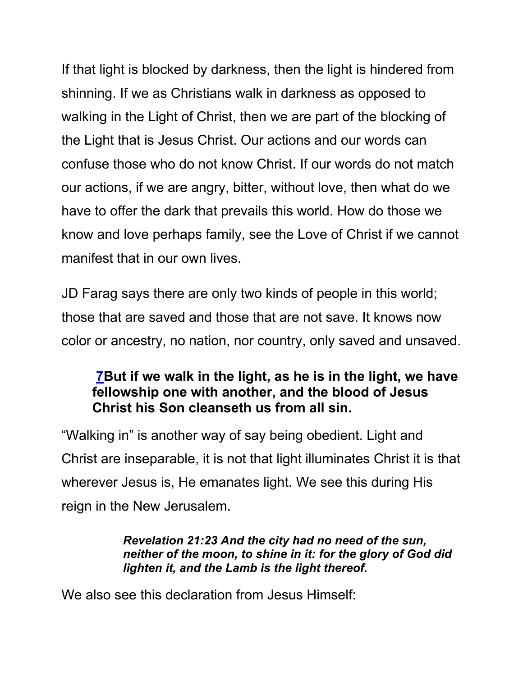If that light is blocked by darkness, then the light is hindered from shinning. If we as Christians walk in darkness as opposed to walking in the Light of Christ, then we are part of the blocking of the Light that is Jesus Christ. Our actions and our words can confuse those who do not know Christ. If our words do not match our actions, if we are angry, bitter, without love, then what do we have to offer the dark that prevails this world. How do those we know and love perhaps family, see the Love of Christ if we cannot manifest that in our own lives.

JD Farag says there are only two kinds of people in this world; those that are saved and those that are not save. It knows now color or ancestry, no nation, nor country, only saved and unsaved.

### **7But if we walk in the light, as he is in the light, we have fellowship one with another, and the blood of Jesus Christ his Son cleanseth us from all sin.**

"Walking in" is another way of say being obedient. Light and Christ are inseparable, it is not that light illuminates Christ it is that wherever Jesus is, He emanates light. We see this during His reign in the New Jerusalem.

#### *Revelation 21:23 And the city had no need of the sun, neither of the moon, to shine in it: for the glory of God did lighten it, and the Lamb is the light thereof.*

We also see this declaration from Jesus Himself: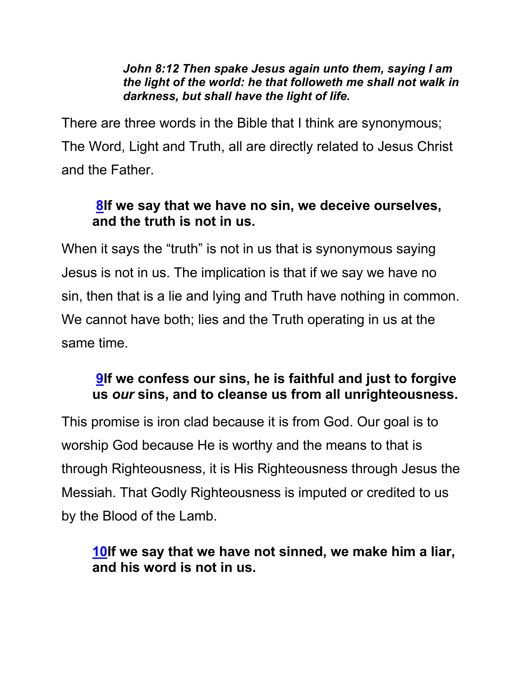#### *John 8:12 Then spake Jesus again unto them, saying I am the light of the world: he that followeth me shall not walk in darkness, but shall have the light of life.*

There are three words in the Bible that I think are synonymous; The Word, Light and Truth, all are directly related to Jesus Christ and the Father.

## **8If we say that we have no sin, we deceive ourselves, and the truth is not in us.**

When it says the "truth" is not in us that is synonymous saying Jesus is not in us. The implication is that if we say we have no sin, then that is a lie and lying and Truth have nothing in common. We cannot have both; lies and the Truth operating in us at the same time.

## **9If we confess our sins, he is faithful and just to forgive us** *our* **sins, and to cleanse us from all unrighteousness.**

This promise is iron clad because it is from God. Our goal is to worship God because He is worthy and the means to that is through Righteousness, it is His Righteousness through Jesus the Messiah. That Godly Righteousness is imputed or credited to us by the Blood of the Lamb.

### **10If we say that we have not sinned, we make him a liar, and his word is not in us.**